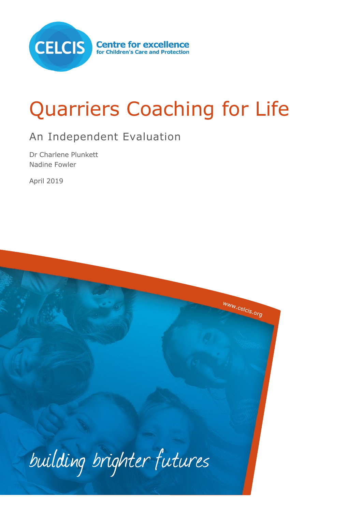

# Quarriers Coaching for Life

# An Independent Evaluation

Dr Charlene Plunkett Nadine Fowler

April 2019

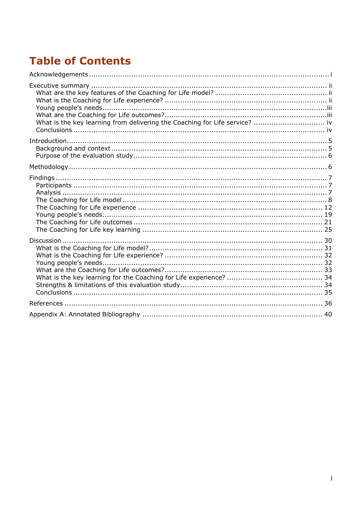# **Table of Contents**

| What is the key learning from delivering the Coaching for Life service?  iv |  |
|-----------------------------------------------------------------------------|--|
|                                                                             |  |
|                                                                             |  |
|                                                                             |  |
|                                                                             |  |
|                                                                             |  |
|                                                                             |  |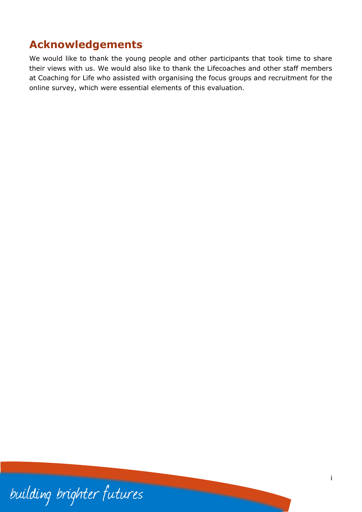# <span id="page-2-0"></span>**Acknowledgements**

We would like to thank the young people and other participants that took time to share their views with us. We would also like to thank the Lifecoaches and other staff members at Coaching for Life who assisted with organising the focus groups and recruitment for the online survey, which were essential elements of this evaluation.

building brighter futures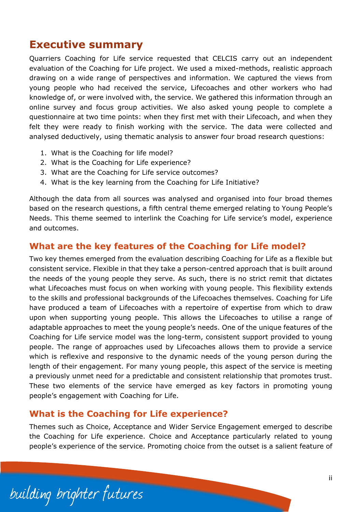# <span id="page-3-0"></span>**Executive summary**

Quarriers Coaching for Life service requested that CELCIS carry out an independent evaluation of the Coaching for Life project. We used a mixed-methods, realistic approach drawing on a wide range of perspectives and information. We captured the views from young people who had received the service, Lifecoaches and other workers who had knowledge of, or were involved with, the service. We gathered this information through an online survey and focus group activities. We also asked young people to complete a questionnaire at two time points: when they first met with their Lifecoach, and when they felt they were ready to finish working with the service. The data were collected and analysed deductively, using thematic analysis to answer four broad research questions:

- 1. What is the Coaching for life model?
- 2. What is the Coaching for Life experience?
- 3. What are the Coaching for Life service outcomes?
- 4. What is the key learning from the Coaching for Life Initiative?

Although the data from all sources was analysed and organised into four broad themes based on the research questions, a fifth central theme emerged relating to Young People's Needs. This theme seemed to interlink the Coaching for Life service's model, experience and outcomes.

# <span id="page-3-1"></span>**What are the key features of the Coaching for Life model?**

Two key themes emerged from the evaluation describing Coaching for Life as a flexible but consistent service. Flexible in that they take a person-centred approach that is built around the needs of the young people they serve. As such, there is no strict remit that dictates what Lifecoaches must focus on when working with young people. This flexibility extends to the skills and professional backgrounds of the Lifecoaches themselves. Coaching for Life have produced a team of Lifecoaches with a repertoire of expertise from which to draw upon when supporting young people. This allows the Lifecoaches to utilise a range of adaptable approaches to meet the young people's needs. One of the unique features of the Coaching for Life service model was the long-term, consistent support provided to young people. The range of approaches used by Lifecoaches allows them to provide a service which is reflexive and responsive to the dynamic needs of the young person during the length of their engagement. For many young people, this aspect of the service is meeting a previously unmet need for a predictable and consistent relationship that promotes trust. These two elements of the service have emerged as key factors in promoting young people's engagement with Coaching for Life.

# <span id="page-3-2"></span>**What is the Coaching for Life experience?**

Themes such as Choice, Acceptance and Wider Service Engagement emerged to describe the Coaching for Life experience. Choice and Acceptance particularly related to young people's experience of the service. Promoting choice from the outset is a salient feature of

building brighter futures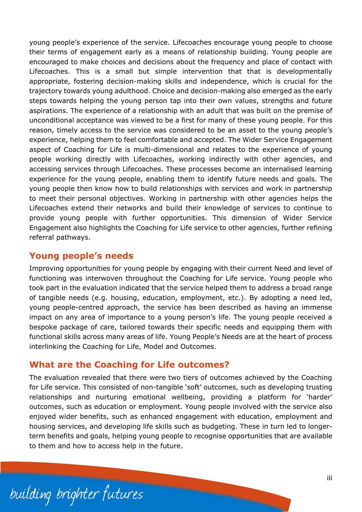young people's experience of the service. Lifecoaches encourage young people to choose their terms of engagement early as a means of relationship building. Young people are encouraged to make choices and decisions about the frequency and place of contact with Lifecoaches. This is a small but simple intervention that that is developmentally appropriate, fostering decision-making skills and independence, which is crucial for the trajectory towards young adulthood. Choice and decision-making also emerged as the early steps towards helping the young person tap into their own values, strengths and future aspirations. The experience of a relationship with an adult that was built on the premise of unconditional acceptance was viewed to be a first for many of these young people. For this reason, timely access to the service was considered to be an asset to the young people's experience, helping them to feel comfortable and accepted. The Wider Service Engagement aspect of Coaching for Life is multi-dimensional and relates to the experience of young people working directly with Lifecoaches, working indirectly with other agencies, and accessing services through Lifecoaches. These processes become an internalised learning experience for the young people, enabling them to identify future needs and goals. The young people then know how to build relationships with services and work in partnership to meet their personal objectives. Working in partnership with other agencies helps the Lifecoaches extend their networks and build their knowledge of services to continue to provide young people with further opportunities. This dimension of Wider Service Engagement also highlights the Coaching for Life service to other agencies, further refining referral pathways.

### <span id="page-4-0"></span>**Young people's needs**

Improving opportunities for young people by engaging with their current Need and level of functioning was interwoven throughout the Coaching for Life service. Young people who took part in the evaluation indicated that the service helped them to address a broad range of tangible needs (e.g. housing, education, employment, etc.). By adopting a need led, young people-centred approach, the service has been described as having an immense impact on any area of importance to a young person's life. The young people received a bespoke package of care, tailored towards their specific needs and equipping them with functional skills across many areas of life. Young People's Needs are at the heart of process interlinking the Coaching for Life, Model and Outcomes.

### <span id="page-4-1"></span>**What are the Coaching for Life outcomes?**

The evaluation revealed that there were two tiers of outcomes achieved by the Coaching for Life service. This consisted of non-tangible 'soft' outcomes, such as developing trusting relationships and nurturing emotional wellbeing, providing a platform for 'harder' outcomes, such as education or employment. Young people involved with the service also enjoyed wider benefits, such as enhanced engagement with education, employment and housing services, and developing life skills such as budgeting. These in turn led to longerterm benefits and goals, helping young people to recognise opportunities that are available to them and how to access help in the future.

building brighter futures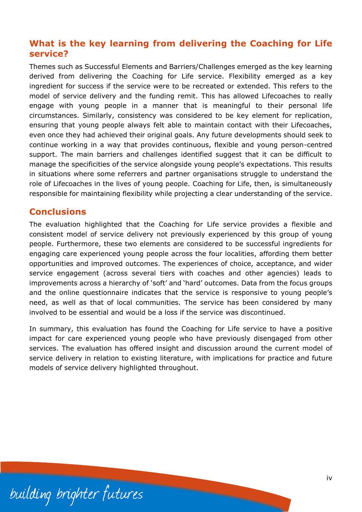# <span id="page-5-0"></span>**What is the key learning from delivering the Coaching for Life service?**

Themes such as Successful Elements and Barriers/Challenges emerged as the key learning derived from delivering the Coaching for Life service. Flexibility emerged as a key ingredient for success if the service were to be recreated or extended. This refers to the model of service delivery and the funding remit. This has allowed Lifecoaches to really engage with young people in a manner that is meaningful to their personal life circumstances. Similarly, consistency was considered to be key element for replication, ensuring that young people always felt able to maintain contact with their Lifecoaches, even once they had achieved their original goals. Any future developments should seek to continue working in a way that provides continuous, flexible and young person-centred support. The main barriers and challenges identified suggest that it can be difficult to manage the specificities of the service alongside young people's expectations. This results in situations where some referrers and partner organisations struggle to understand the role of Lifecoaches in the lives of young people. Coaching for Life, then, is simultaneously responsible for maintaining flexibility while projecting a clear understanding of the service.

#### <span id="page-5-1"></span>**Conclusions**

The evaluation highlighted that the Coaching for Life service provides a flexible and consistent model of service delivery not previously experienced by this group of young people. Furthermore, these two elements are considered to be successful ingredients for engaging care experienced young people across the four localities, affording them better opportunities and improved outcomes. The experiences of choice, acceptance, and wider service engagement (across several tiers with coaches and other agencies) leads to improvements across a hierarchy of 'soft' and 'hard' outcomes. Data from the focus groups and the online questionnaire indicates that the service is responsive to young people's need, as well as that of local communities. The service has been considered by many involved to be essential and would be a loss if the service was discontinued.

In summary, this evaluation has found the Coaching for Life service to have a positive impact for care experienced young people who have previously disengaged from other services. The evaluation has offered insight and discussion around the current model of service delivery in relation to existing literature, with implications for practice and future models of service delivery highlighted throughout.

building brighter futures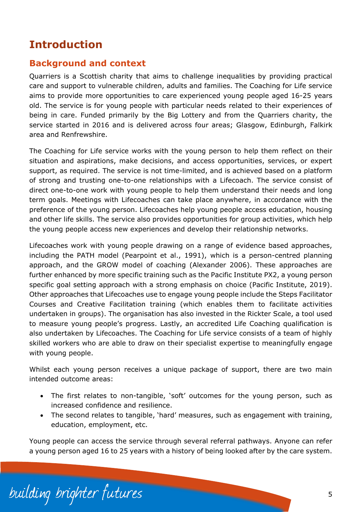# <span id="page-6-0"></span>**Introduction**

# <span id="page-6-1"></span>**Background and context**

Quarriers is a Scottish charity that aims to challenge inequalities by providing practical care and support to vulnerable children, adults and families. The Coaching for Life service aims to provide more opportunities to care experienced young people aged 16-25 years old. The service is for young people with particular needs related to their experiences of being in care. Funded primarily by the Big Lottery and from the Quarriers charity, the service started in 2016 and is delivered across four areas; Glasgow, Edinburgh, Falkirk area and Renfrewshire.

The Coaching for Life service works with the young person to help them reflect on their situation and aspirations, make decisions, and access opportunities, services, or expert support, as required. The service is not time-limited, and is achieved based on a platform of strong and trusting one-to-one relationships with a Lifecoach. The service consist of direct one-to-one work with young people to help them understand their needs and long term goals. Meetings with Lifecoaches can take place anywhere, in accordance with the preference of the young person. Lifecoaches help young people access education, housing and other life skills. The service also provides opportunities for group activities, which help the young people access new experiences and develop their relationship networks.

Lifecoaches work with young people drawing on a range of evidence based approaches, including the PATH model (Pearpoint et al., 1991), which is a person-centred planning approach, and the GROW model of coaching (Alexander 2006). These approaches are further enhanced by more specific training such as the Pacific Institute PX2, a young person specific goal setting approach with a strong emphasis on choice (Pacific Institute, 2019). Other approaches that Lifecoaches use to engage young people include the Steps Facilitator Courses and Creative Facilitation training (which enables them to facilitate activities undertaken in groups). The organisation has also invested in the Rickter Scale, a tool used to measure young people's progress. Lastly, an accredited Life Coaching qualification is also undertaken by Lifecoaches. The Coaching for Life service consists of a team of highly skilled workers who are able to draw on their specialist expertise to meaningfully engage with young people.

Whilst each young person receives a unique package of support, there are two main intended outcome areas:

- The first relates to non-tangible, 'soft' outcomes for the young person, such as increased confidence and resilience.
- The second relates to tangible, 'hard' measures, such as engagement with training, education, employment, etc.

Young people can access the service through several referral pathways. Anyone can refer a young person aged 16 to 25 years with a history of being looked after by the care system.

building brighter futures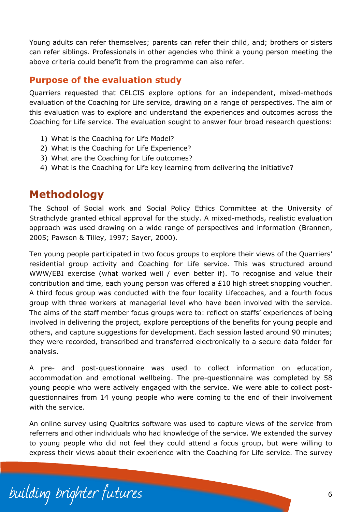Young adults can refer themselves; parents can refer their child, and; brothers or sisters can refer siblings. Professionals in other agencies who think a young person meeting the above criteria could benefit from the programme can also refer.

## <span id="page-7-0"></span>**Purpose of the evaluation study**

Quarriers requested that CELCIS explore options for an independent, mixed-methods evaluation of the Coaching for Life service, drawing on a range of perspectives. The aim of this evaluation was to explore and understand the experiences and outcomes across the Coaching for Life service. The evaluation sought to answer four broad research questions:

- 1) What is the Coaching for Life Model?
- 2) What is the Coaching for Life Experience?
- 3) What are the Coaching for Life outcomes?
- 4) What is the Coaching for Life key learning from delivering the initiative?

# <span id="page-7-1"></span>**Methodology**

The School of Social work and Social Policy Ethics Committee at the University of Strathclyde granted ethical approval for the study. A mixed-methods, realistic evaluation approach was used drawing on a wide range of perspectives and information (Brannen, 2005; Pawson & Tilley, 1997; Sayer, 2000).

Ten young people participated in two focus groups to explore their views of the Quarriers' residential group activity and Coaching for Life service. This was structured around WWW/EBI exercise (what worked well / even better if). To recognise and value their contribution and time, each young person was offered a £10 high street shopping voucher. A third focus group was conducted with the four locality Lifecoaches, and a fourth focus group with three workers at managerial level who have been involved with the service. The aims of the staff member focus groups were to: reflect on staffs' experiences of being involved in delivering the project, explore perceptions of the benefits for young people and others, and capture suggestions for development. Each session lasted around 90 minutes; they were recorded, transcribed and transferred electronically to a secure data folder for analysis.

A pre- and post-questionnaire was used to collect information on education, accommodation and emotional wellbeing. The pre-questionnaire was completed by 58 young people who were actively engaged with the service. We were able to collect postquestionnaires from 14 young people who were coming to the end of their involvement with the service.

An online survey using Qualtrics software was used to capture views of the service from referrers and other individuals who had knowledge of the service. We extended the survey to young people who did not feel they could attend a focus group, but were willing to express their views about their experience with the Coaching for Life service. The survey

building brighter futures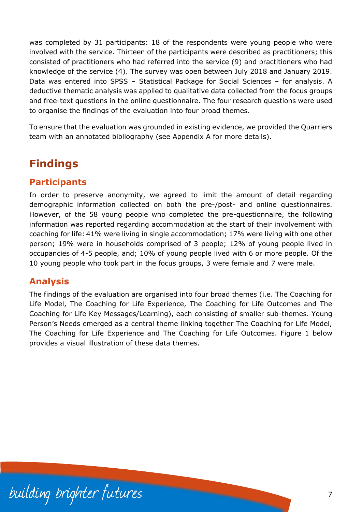was completed by 31 participants: 18 of the respondents were young people who were involved with the service. Thirteen of the participants were described as practitioners; this consisted of practitioners who had referred into the service (9) and practitioners who had knowledge of the service (4). The survey was open between July 2018 and January 2019. Data was entered into SPSS – Statistical Package for Social Sciences – for analysis. A deductive thematic analysis was applied to qualitative data collected from the focus groups and free-text questions in the online questionnaire. The four research questions were used to organise the findings of the evaluation into four broad themes.

To ensure that the evaluation was grounded in existing evidence, we provided the Quarriers team with an annotated bibliography (see Appendix A for more details).

# <span id="page-8-0"></span>**Findings**

# <span id="page-8-1"></span>**Participants**

In order to preserve anonymity, we agreed to limit the amount of detail regarding demographic information collected on both the pre-/post- and online questionnaires. However, of the 58 young people who completed the pre-questionnaire, the following information was reported regarding accommodation at the start of their involvement with coaching for life: 41% were living in single accommodation; 17% were living with one other person; 19% were in households comprised of 3 people; 12% of young people lived in occupancies of 4-5 people, and; 10% of young people lived with 6 or more people. Of the 10 young people who took part in the focus groups, 3 were female and 7 were male.

# <span id="page-8-2"></span>**Analysis**

The findings of the evaluation are organised into four broad themes (i.e. The Coaching for Life Model, The Coaching for Life Experience, The Coaching for Life Outcomes and The Coaching for Life Key Messages/Learning), each consisting of smaller sub-themes. Young Person's Needs emerged as a central theme linking together The Coaching for Life Model, The Coaching for Life Experience and The Coaching for Life Outcomes. Figure 1 below provides a visual illustration of these data themes.

building brighter futures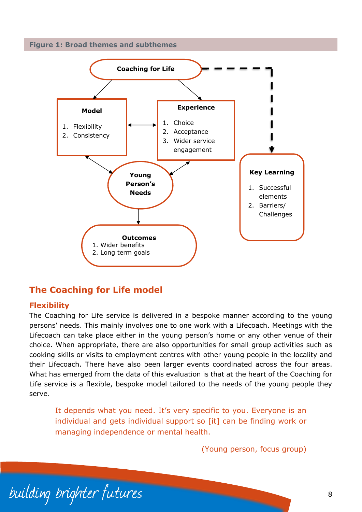



# <span id="page-9-0"></span>**The Coaching for Life model**

#### **Flexibility**

The Coaching for Life service is delivered in a bespoke manner according to the young persons' needs. This mainly involves one to one work with a Lifecoach. Meetings with the Lifecoach can take place either in the young person's home or any other venue of their choice. When appropriate, there are also opportunities for small group activities such as cooking skills or visits to employment centres with other young people in the locality and their Lifecoach. There have also been larger events coordinated across the four areas. What has emerged from the data of this evaluation is that at the heart of the Coaching for Life service is a flexible, bespoke model tailored to the needs of the young people they serve.

It depends what you need. It's very specific to you. Everyone is an individual and gets individual support so [it] can be finding work or managing independence or mental health.

(Young person, focus group)

building brighter futures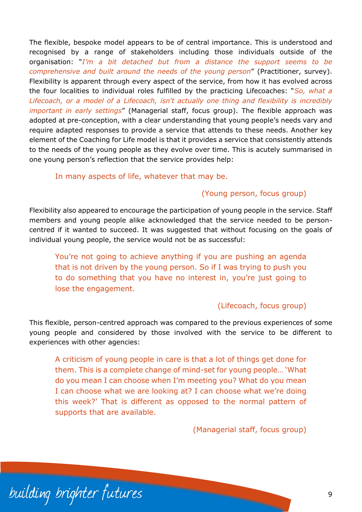The flexible, bespoke model appears to be of central importance. This is understood and recognised by a range of stakeholders including those individuals outside of the organisation: "*I'm a bit detached but from a distance the support seems to be comprehensive and built around the needs of the young person*" (Practitioner, survey). Flexibility is apparent through every aspect of the service, from how it has evolved across the four localities to individual roles fulfilled by the practicing Lifecoaches: "*So, what a Lifecoach, or a model of a Lifecoach, isn't actually one thing and flexibility is incredibly important in early settings*" (Managerial staff, focus group). The flexible approach was adopted at pre-conception, with a clear understanding that young people's needs vary and require adapted responses to provide a service that attends to these needs. Another key element of the Coaching for Life model is that it provides a service that consistently attends to the needs of the young people as they evolve over time. This is acutely summarised in one young person's reflection that the service provides help:

#### In many aspects of life, whatever that may be.

#### (Young person, focus group)

Flexibility also appeared to encourage the participation of young people in the service. Staff members and young people alike acknowledged that the service needed to be personcentred if it wanted to succeed. It was suggested that without focusing on the goals of individual young people, the service would not be as successful:

You're not going to achieve anything if you are pushing an agenda that is not driven by the young person. So if I was trying to push you to do something that you have no interest in, you're just going to lose the engagement.

#### (Lifecoach, focus group)

This flexible, person-centred approach was compared to the previous experiences of some young people and considered by those involved with the service to be different to experiences with other agencies:

A criticism of young people in care is that a lot of things get done for them. This is a complete change of mind-set for young people… 'What do you mean I can choose when I'm meeting you? What do you mean I can choose what we are looking at? I can choose what we're doing this week?' That is different as opposed to the normal pattern of supports that are available.

(Managerial staff, focus group)

building brighter futures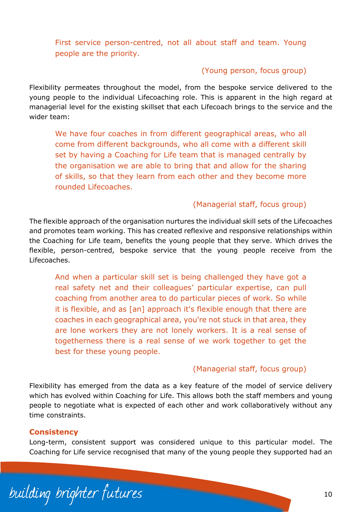First service person-centred, not all about staff and team. Young people are the priority.

#### (Young person, focus group)

Flexibility permeates throughout the model, from the bespoke service delivered to the young people to the individual Lifecoaching role. This is apparent in the high regard at managerial level for the existing skillset that each Lifecoach brings to the service and the wider team:

We have four coaches in from different geographical areas, who all come from different backgrounds, who all come with a different skill set by having a Coaching for Life team that is managed centrally by the organisation we are able to bring that and allow for the sharing of skills, so that they learn from each other and they become more rounded Lifecoaches.

#### (Managerial staff, focus group)

The flexible approach of the organisation nurtures the individual skill sets of the Lifecoaches and promotes team working. This has created reflexive and responsive relationships within the Coaching for Life team, benefits the young people that they serve. Which drives the flexible, person-centred, bespoke service that the young people receive from the Lifecoaches.

And when a particular skill set is being challenged they have got a real safety net and their colleagues' particular expertise, can pull coaching from another area to do particular pieces of work. So while it is flexible, and as [an] approach it's flexible enough that there are coaches in each geographical area, you're not stuck in that area, they are lone workers they are not lonely workers. It is a real sense of togetherness there is a real sense of we work together to get the best for these young people.

#### (Managerial staff, focus group)

Flexibility has emerged from the data as a key feature of the model of service delivery which has evolved within Coaching for Life. This allows both the staff members and young people to negotiate what is expected of each other and work collaboratively without any time constraints.

#### **Consistency**

Long-term, consistent support was considered unique to this particular model. The Coaching for Life service recognised that many of the young people they supported had an

building brighter futures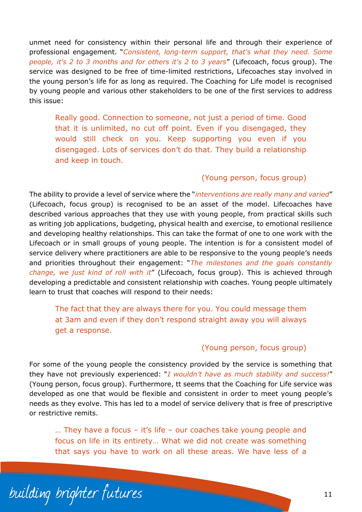unmet need for consistency within their personal life and through their experience of professional engagement. "*Consistent, long-term support, that's what they need. Some people, it's 2 to 3 months and for others it's 2 to 3 years*" (Lifecoach, focus group). The service was designed to be free of time-limited restrictions, Lifecoaches stay involved in the young person's life for as long as required. The Coaching for Life model is recognised by young people and various other stakeholders to be one of the first services to address this issue:

Really good. Connection to someone, not just a period of time. Good that it is unlimited, no cut off point. Even if you disengaged, they would still check on you. Keep supporting you even if you disengaged. Lots of services don't do that. They build a relationship and keep in touch.

#### (Young person, focus group)

The ability to provide a level of service where the "*interventions are really many and varied*" (Lifecoach, focus group) is recognised to be an asset of the model. Lifecoaches have described various approaches that they use with young people, from practical skills such as writing job applications, budgeting, physical health and exercise, to emotional resilience and developing healthy relationships. This can take the format of one to one work with the Lifecoach or in small groups of young people. The intention is for a consistent model of service delivery where practitioners are able to be responsive to the young people's needs and priorities throughout their engagement: "*The milestones and the goals constantly change, we just kind of roll with it*" (Lifecoach, focus group). This is achieved through developing a predictable and consistent relationship with coaches. Young people ultimately learn to trust that coaches will respond to their needs:

The fact that they are always there for you. You could message them at 3am and even if they don't respond straight away you will always get a response.

#### (Young person, focus group)

For some of the young people the consistency provided by the service is something that they have not previously experienced: "*I wouldn't have as much stability and success!*" (Young person, focus group). Furthermore, tt seems that the Coaching for Life service was developed as one that would be flexible and consistent in order to meet young people's needs as they evolve. This has led to a model of service delivery that is free of prescriptive or restrictive remits.

… They have a focus – it's life – our coaches take young people and focus on life in its entirety… What we did not create was something that says you have to work on all these areas. We have less of a

building brighter futures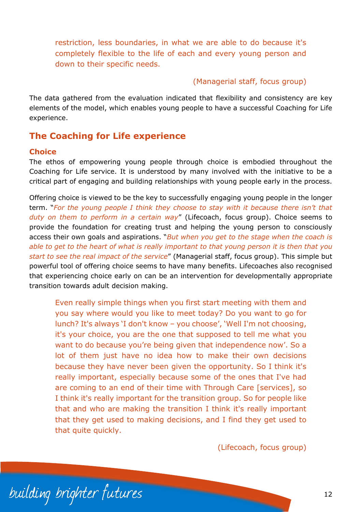restriction, less boundaries, in what we are able to do because it's completely flexible to the life of each and every young person and down to their specific needs.

#### (Managerial staff, focus group)

The data gathered from the evaluation indicated that flexibility and consistency are key elements of the model, which enables young people to have a successful Coaching for Life experience.

# <span id="page-13-0"></span>**The Coaching for Life experience**

#### **Choice**

The ethos of empowering young people through choice is embodied throughout the Coaching for Life service. It is understood by many involved with the initiative to be a critical part of engaging and building relationships with young people early in the process.

Offering choice is viewed to be the key to successfully engaging young people in the longer term. "*For the young people I think they choose to stay with it because there isn't that duty on them to perform in a certain way*" (Lifecoach, focus group). Choice seems to provide the foundation for creating trust and helping the young person to consciously access their own goals and aspirations. "*But when you get to the stage when the coach is able to get to the heart of what is really important to that young person it is then that you start to see the real impact of the service*" (Managerial staff, focus group). This simple but powerful tool of offering choice seems to have many benefits. Lifecoaches also recognised that experiencing choice early on can be an intervention for developmentally appropriate transition towards adult decision making.

Even really simple things when you first start meeting with them and you say where would you like to meet today? Do you want to go for lunch? It's always 'I don't know – you choose', 'Well I'm not choosing, it's your choice, you are the one that supposed to tell me what you want to do because you're being given that independence now'. So a lot of them just have no idea how to make their own decisions because they have never been given the opportunity. So I think it's really important, especially because some of the ones that I've had are coming to an end of their time with Through Care [services], so I think it's really important for the transition group. So for people like that and who are making the transition I think it's really important that they get used to making decisions, and I find they get used to that quite quickly.

(Lifecoach, focus group)

building brighter futures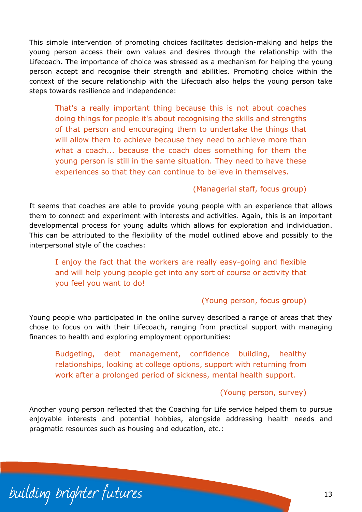This simple intervention of promoting choices facilitates decision-making and helps the young person access their own values and desires through the relationship with the Lifecoach**.** The importance of choice was stressed as a mechanism for helping the young person accept and recognise their strength and abilities. Promoting choice within the context of the secure relationship with the Lifecoach also helps the young person take steps towards resilience and independence:

That's a really important thing because this is not about coaches doing things for people it's about recognising the skills and strengths of that person and encouraging them to undertake the things that will allow them to achieve because they need to achieve more than what a coach... because the coach does something for them the young person is still in the same situation. They need to have these experiences so that they can continue to believe in themselves.

#### (Managerial staff, focus group)

It seems that coaches are able to provide young people with an experience that allows them to connect and experiment with interests and activities. Again, this is an important developmental process for young adults which allows for exploration and individuation. This can be attributed to the flexibility of the model outlined above and possibly to the interpersonal style of the coaches:

I enjoy the fact that the workers are really easy-going and flexible and will help young people get into any sort of course or activity that you feel you want to do!

#### (Young person, focus group)

Young people who participated in the online survey described a range of areas that they chose to focus on with their Lifecoach, ranging from practical support with managing finances to health and exploring employment opportunities:

Budgeting, debt management, confidence building, healthy relationships, looking at college options, support with returning from work after a prolonged period of sickness, mental health support.

#### (Young person, survey)

Another young person reflected that the Coaching for Life service helped them to pursue enjoyable interests and potential hobbies, alongside addressing health needs and pragmatic resources such as housing and education, etc.:

building brighter futures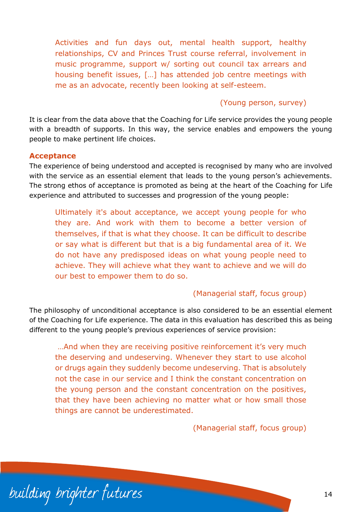Activities and fun days out, mental health support, healthy relationships, CV and Princes Trust course referral, involvement in music programme, support w/ sorting out council tax arrears and housing benefit issues, […] has attended job centre meetings with me as an advocate, recently been looking at self-esteem.

#### (Young person, survey)

It is clear from the data above that the Coaching for Life service provides the young people with a breadth of supports. In this way, the service enables and empowers the young people to make pertinent life choices.

#### **Acceptance**

The experience of being understood and accepted is recognised by many who are involved with the service as an essential element that leads to the young person's achievements. The strong ethos of acceptance is promoted as being at the heart of the Coaching for Life experience and attributed to successes and progression of the young people:

Ultimately it's about acceptance, we accept young people for who they are. And work with them to become a better version of themselves, if that is what they choose. It can be difficult to describe or say what is different but that is a big fundamental area of it. We do not have any predisposed ideas on what young people need to achieve. They will achieve what they want to achieve and we will do our best to empower them to do so.

#### (Managerial staff, focus group)

The philosophy of unconditional acceptance is also considered to be an essential element of the Coaching for Life experience. The data in this evaluation has described this as being different to the young people's previous experiences of service provision:

…And when they are receiving positive reinforcement it's very much the deserving and undeserving. Whenever they start to use alcohol or drugs again they suddenly become undeserving. That is absolutely not the case in our service and I think the constant concentration on the young person and the constant concentration on the positives, that they have been achieving no matter what or how small those things are cannot be underestimated.

(Managerial staff, focus group)

building brighter futures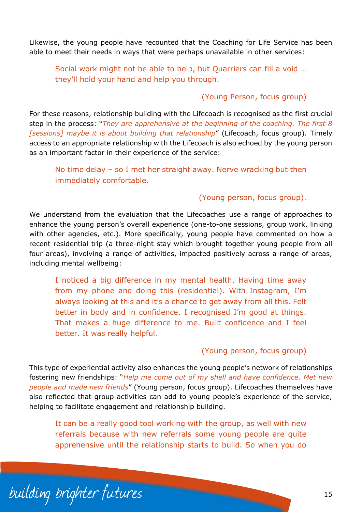Likewise, the young people have recounted that the Coaching for Life Service has been able to meet their needs in ways that were perhaps unavailable in other services:

Social work might not be able to help, but Quarriers can fill a void … they'll hold your hand and help you through.

#### (Young Person, focus group)

For these reasons, relationship building with the Lifecoach is recognised as the first crucial step in the process: "*They are apprehensive at the beginning of the coaching. The first 8 [sessions] maybe it is about building that relationship*" (Lifecoach, focus group). Timely access to an appropriate relationship with the Lifecoach is also echoed by the young person as an important factor in their experience of the service:

No time delay – so I met her straight away. Nerve wracking but then immediately comfortable.

#### (Young person, focus group).

We understand from the evaluation that the Lifecoaches use a range of approaches to enhance the young person's overall experience (one-to-one sessions, group work, linking with other agencies, etc.). More specifically, young people have commented on how a recent residential trip (a three-night stay which brought together young people from all four areas), involving a range of activities, impacted positively across a range of areas, including mental wellbeing:

I noticed a big difference in my mental health. Having time away from my phone and doing this (residential). With Instagram, I'm always looking at this and it's a chance to get away from all this. Felt better in body and in confidence. I recognised I'm good at things. That makes a huge difference to me. Built confidence and I feel better. It was really helpful.

#### (Young person, focus group)

This type of experiential activity also enhances the young people's network of relationships fostering new friendships: "*Help me come out of my shell and have confidence. Met new people and made new friends*" (Young person, focus group). Lifecoaches themselves have also reflected that group activities can add to young people's experience of the service, helping to facilitate engagement and relationship building.

It can be a really good tool working with the group, as well with new referrals because with new referrals some young people are quite apprehensive until the relationship starts to build. So when you do

building brighter futures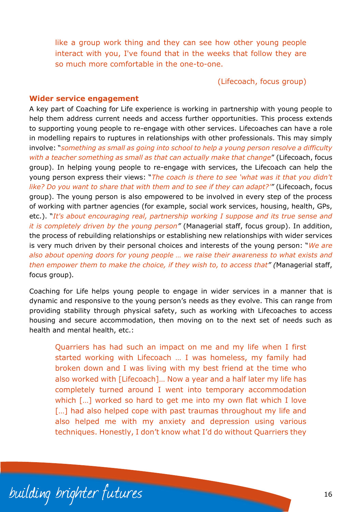like a group work thing and they can see how other young people interact with you, I've found that in the weeks that follow they are so much more comfortable in the one-to-one.

(Lifecoach, focus group)

#### **Wider service engagement**

A key part of Coaching for Life experience is working in partnership with young people to help them address current needs and access further opportunities. This process extends to supporting young people to re-engage with other services. Lifecoaches can have a role in modelling repairs to ruptures in relationships with other professionals. This may simply involve: "*something as small as going into school to help a young person resolve a difficulty with a teacher something as small as that can actually make that change*" (Lifecoach, focus group). In helping young people to re-engage with services, the Lifecoach can help the young person express their views: "*The coach is there to see 'what was it that you didn't like? Do you want to share that with them and to see if they can adapt?'"* (Lifecoach, focus group). The young person is also empowered to be involved in every step of the process of working with partner agencies (for example, social work services, housing, health, GPs, etc.). "*It's about encouraging real, partnership working I suppose and its true sense and it is completely driven by the young person"* (Managerial staff, focus group). In addition, the process of rebuilding relationships or establishing new relationships with wider services is very much driven by their personal choices and interests of the young person: "*We are also about opening doors for young people … we raise their awareness to what exists and then empower them to make the choice, if they wish to, to access that" (*Managerial staff, focus group)*.*

Coaching for Life helps young people to engage in wider services in a manner that is dynamic and responsive to the young person's needs as they evolve. This can range from providing stability through physical safety, such as working with Lifecoaches to access housing and secure accommodation, then moving on to the next set of needs such as health and mental health, etc.:

Quarriers has had such an impact on me and my life when I first started working with Lifecoach … I was homeless, my family had broken down and I was living with my best friend at the time who also worked with [Lifecoach]… Now a year and a half later my life has completely turned around I went into temporary accommodation which [...] worked so hard to get me into my own flat which I love [...] had also helped cope with past traumas throughout my life and also helped me with my anxiety and depression using various techniques. Honestly, I don't know what I'd do without Quarriers they

building brighter futures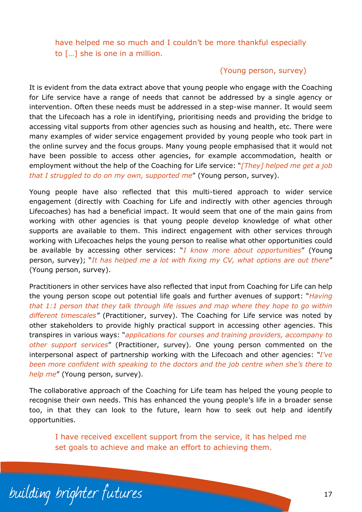have helped me so much and I couldn't be more thankful especially to […] she is one in a million.

#### (Young person, survey)

It is evident from the data extract above that young people who engage with the Coaching for Life service have a range of needs that cannot be addressed by a single agency or intervention. Often these needs must be addressed in a step-wise manner. It would seem that the Lifecoach has a role in identifying, prioritising needs and providing the bridge to accessing vital supports from other agencies such as housing and health, etc. There were many examples of wider service engagement provided by young people who took part in the online survey and the focus groups. Many young people emphasised that it would not have been possible to access other agencies, for example accommodation, health or employment without the help of the Coaching for Life service: "*[They] helped me get a job that I struggled to do on my own, supported me*" (Young person, survey).

Young people have also reflected that this multi-tiered approach to wider service engagement (directly with Coaching for Life and indirectly with other agencies through Lifecoaches) has had a beneficial impact. It would seem that one of the main gains from working with other agencies is that young people develop knowledge of what other supports are available to them. This indirect engagement with other services through working with Lifecoaches helps the young person to realise what other opportunities could be available by accessing other services: "*I know more about opportunities*" (Young person, survey); "*It has helped me a lot with fixing my CV, what options are out there*" (Young person, survey).

Practitioners in other services have also reflected that input from Coaching for Life can help the young person scope out potential life goals and further avenues of support: "*Having that 1:1 person that they talk through life issues and map where they hope to go within different timescales"* (Practitioner, survey). The Coaching for Life service was noted by other stakeholders to provide highly practical support in accessing other agencies. This transpires in various ways: "*applications for courses and training providers, accompany to other support services*" (Practitioner, survey). One young person commented on the interpersonal aspect of partnership working with the Lifecoach and other agencies: *"I've been more confident with speaking to the doctors and the job centre when she's there to help me*" (Young person, survey).

The collaborative approach of the Coaching for Life team has helped the young people to recognise their own needs. This has enhanced the young people's life in a broader sense too, in that they can look to the future, learn how to seek out help and identify opportunities.

I have received excellent support from the service, it has helped me set goals to achieve and make an effort to achieving them.

building brighter futures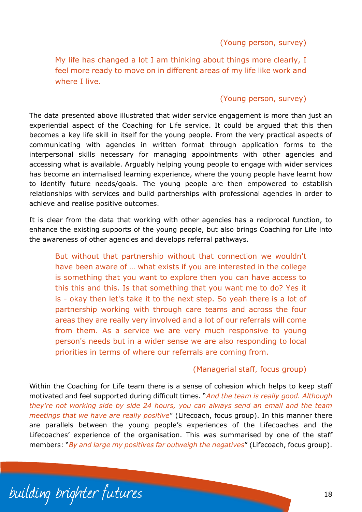(Young person, survey)

My life has changed a lot I am thinking about things more clearly, I feel more ready to move on in different areas of my life like work and where I live.

#### (Young person, survey)

The data presented above illustrated that wider service engagement is more than just an experiential aspect of the Coaching for Life service. It could be argued that this then becomes a key life skill in itself for the young people. From the very practical aspects of communicating with agencies in written format through application forms to the interpersonal skills necessary for managing appointments with other agencies and accessing what is available. Arguably helping young people to engage with wider services has become an internalised learning experience, where the young people have learnt how to identify future needs/goals. The young people are then empowered to establish relationships with services and build partnerships with professional agencies in order to achieve and realise positive outcomes.

It is clear from the data that working with other agencies has a reciprocal function, to enhance the existing supports of the young people, but also brings Coaching for Life into the awareness of other agencies and develops referral pathways.

But without that partnership without that connection we wouldn't have been aware of … what exists if you are interested in the college is something that you want to explore then you can have access to this this and this. Is that something that you want me to do? Yes it is - okay then let's take it to the next step. So yeah there is a lot of partnership working with through care teams and across the four areas they are really very involved and a lot of our referrals will come from them. As a service we are very much responsive to young person's needs but in a wider sense we are also responding to local priorities in terms of where our referrals are coming from.

#### (Managerial staff, focus group)

Within the Coaching for Life team there is a sense of cohesion which helps to keep staff motivated and feel supported during difficult times. "*And the team is really good. Although they're not working side by side 24 hours, you can always send an email and the team meetings that we have are really positive*" (Lifecoach, focus group). In this manner there are parallels between the young people's experiences of the Lifecoaches and the Lifecoaches' experience of the organisation. This was summarised by one of the staff members: "*By and large my positives far outweigh the negatives*" (Lifecoach, focus group).

building brighter futures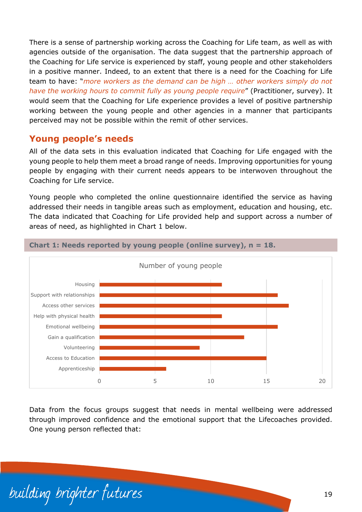There is a sense of partnership working across the Coaching for Life team, as well as with agencies outside of the organisation. The data suggest that the partnership approach of the Coaching for Life service is experienced by staff, young people and other stakeholders in a positive manner. Indeed, to an extent that there is a need for the Coaching for Life team to have: "*more workers as the demand can be high … other workers simply do not have the working hours to commit fully as young people require*" (Practitioner, survey). It would seem that the Coaching for Life experience provides a level of positive partnership working between the young people and other agencies in a manner that participants perceived may not be possible within the remit of other services.

### <span id="page-20-0"></span>**Young people's needs**

All of the data sets in this evaluation indicated that Coaching for Life engaged with the young people to help them meet a broad range of needs. Improving opportunities for young people by engaging with their current needs appears to be interwoven throughout the Coaching for Life service.

Young people who completed the online questionnaire identified the service as having addressed their needs in tangible areas such as employment, education and housing, etc. The data indicated that Coaching for Life provided help and support across a number of areas of need, as highlighted in Chart 1 below.



**Chart 1: Needs reported by young people (online survey), n = 18.**

Data from the focus groups suggest that needs in mental wellbeing were addressed through improved confidence and the emotional support that the Lifecoaches provided. One young person reflected that:

building brighter futures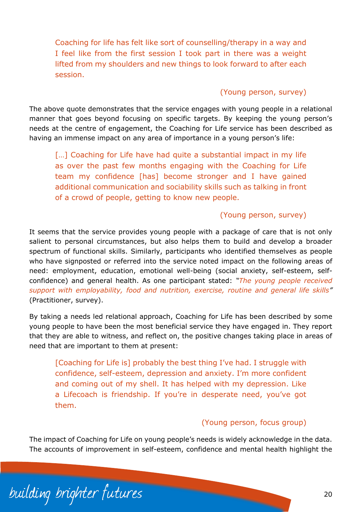Coaching for life has felt like sort of counselling/therapy in a way and I feel like from the first session I took part in there was a weight lifted from my shoulders and new things to look forward to after each session.

#### (Young person, survey)

The above quote demonstrates that the service engages with young people in a relational manner that goes beyond focusing on specific targets. By keeping the young person's needs at the centre of engagement, the Coaching for Life service has been described as having an immense impact on any area of importance in a young person's life:

[...] Coaching for Life have had quite a substantial impact in my life as over the past few months engaging with the Coaching for Life team my confidence [has] become stronger and I have gained additional communication and sociability skills such as talking in front of a crowd of people, getting to know new people.

#### (Young person, survey)

It seems that the service provides young people with a package of care that is not only salient to personal circumstances, but also helps them to build and develop a broader spectrum of functional skills. Similarly, participants who identified themselves as people who have signposted or referred into the service noted impact on the following areas of need: employment, education, emotional well-being (social anxiety, self-esteem, selfconfidence) and general health. As one participant stated: *"The young people received support with employability, food and nutrition, exercise, routine and general life skills"* (Practitioner, survey).

By taking a needs led relational approach, Coaching for Life has been described by some young people to have been the most beneficial service they have engaged in. They report that they are able to witness, and reflect on, the positive changes taking place in areas of need that are important to them at present:

[Coaching for Life is] probably the best thing I've had. I struggle with confidence, self-esteem, depression and anxiety. I'm more confident and coming out of my shell. It has helped with my depression. Like a Lifecoach is friendship. If you're in desperate need, you've got them.

#### (Young person, focus group)

The impact of Coaching for Life on young people's needs is widely acknowledge in the data. The accounts of improvement in self-esteem, confidence and mental health highlight the

building brighter futures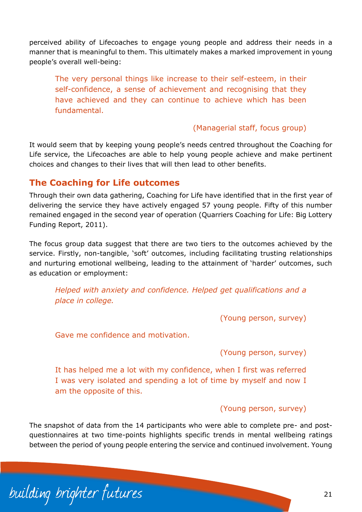perceived ability of Lifecoaches to engage young people and address their needs in a manner that is meaningful to them. This ultimately makes a marked improvement in young people's overall well-being:

The very personal things like increase to their self-esteem, in their self-confidence, a sense of achievement and recognising that they have achieved and they can continue to achieve which has been fundamental.

#### (Managerial staff, focus group)

It would seem that by keeping young people's needs centred throughout the Coaching for Life service, the Lifecoaches are able to help young people achieve and make pertinent choices and changes to their lives that will then lead to other benefits.

### <span id="page-22-0"></span>**The Coaching for Life outcomes**

Through their own data gathering, Coaching for Life have identified that in the first year of delivering the service they have actively engaged 57 young people. Fifty of this number remained engaged in the second year of operation (Quarriers Coaching for Life: Big Lottery Funding Report, 2011).

The focus group data suggest that there are two tiers to the outcomes achieved by the service. Firstly, non-tangible, 'soft' outcomes, including facilitating trusting relationships and nurturing emotional wellbeing, leading to the attainment of 'harder' outcomes, such as education or employment:

*Helped with anxiety and confidence. Helped get qualifications and a place in college.*

(Young person, survey)

Gave me confidence and motivation.

(Young person, survey)

It has helped me a lot with my confidence, when I first was referred I was very isolated and spending a lot of time by myself and now I am the opposite of this.

#### (Young person, survey)

The snapshot of data from the 14 participants who were able to complete pre- and postquestionnaires at two time-points highlights specific trends in mental wellbeing ratings between the period of young people entering the service and continued involvement. Young

building brighter futures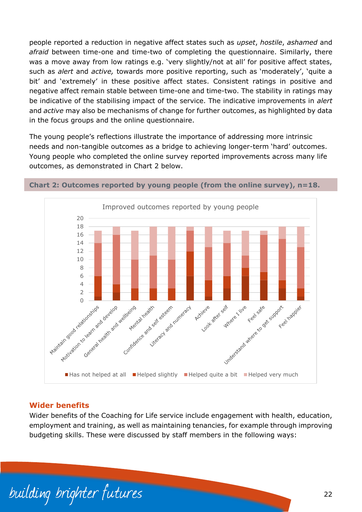people reported a reduction in negative affect states such as *upset*, *hostile*, *ashamed* and *afraid* between time-one and time-two of completing the questionnaire. Similarly, there was a move away from low ratings e.g. 'very slightly/not at all' for positive affect states, such as *alert* and *active,* towards more positive reporting, such as 'moderately', 'quite a bit' and 'extremely' in these positive affect states. Consistent ratings in positive and negative affect remain stable between time-one and time-two. The stability in ratings may be indicative of the stabilising impact of the service. The indicative improvements in *alert* and *active* may also be mechanisms of change for further outcomes, as highlighted by data in the focus groups and the online questionnaire.

The young people's reflections illustrate the importance of addressing more intrinsic needs and non-tangible outcomes as a bridge to achieving longer-term 'hard' outcomes. Young people who completed the online survey reported improvements across many life outcomes, as demonstrated in Chart 2 below.



**Chart 2: Outcomes reported by young people (from the online survey), n=18.**

#### **Wider benefits**

Wider benefits of the Coaching for Life service include engagement with health, education, employment and training, as well as maintaining tenancies, for example through improving budgeting skills. These were discussed by staff members in the following ways:

building brighter futures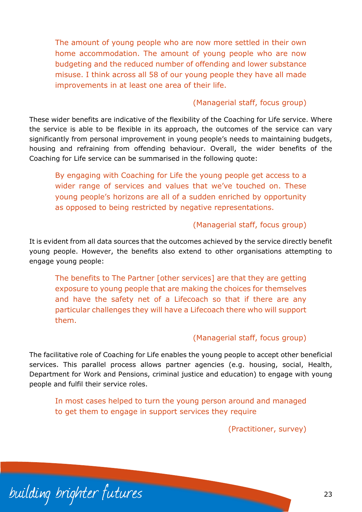The amount of young people who are now more settled in their own home accommodation. The amount of young people who are now budgeting and the reduced number of offending and lower substance misuse. I think across all 58 of our young people they have all made improvements in at least one area of their life.

#### (Managerial staff, focus group)

These wider benefits are indicative of the flexibility of the Coaching for Life service. Where the service is able to be flexible in its approach, the outcomes of the service can vary significantly from personal improvement in young people's needs to maintaining budgets, housing and refraining from offending behaviour. Overall, the wider benefits of the Coaching for Life service can be summarised in the following quote:

By engaging with Coaching for Life the young people get access to a wider range of services and values that we've touched on. These young people's horizons are all of a sudden enriched by opportunity as opposed to being restricted by negative representations.

#### (Managerial staff, focus group)

It is evident from all data sources that the outcomes achieved by the service directly benefit young people. However, the benefits also extend to other organisations attempting to engage young people:

The benefits to The Partner [other services] are that they are getting exposure to young people that are making the choices for themselves and have the safety net of a Lifecoach so that if there are any particular challenges they will have a Lifecoach there who will support them.

#### (Managerial staff, focus group)

The facilitative role of Coaching for Life enables the young people to accept other beneficial services. This parallel process allows partner agencies (e.g. housing, social, Health, Department for Work and Pensions, criminal justice and education) to engage with young people and fulfil their service roles.

In most cases helped to turn the young person around and managed to get them to engage in support services they require

(Practitioner, survey)

building brighter futures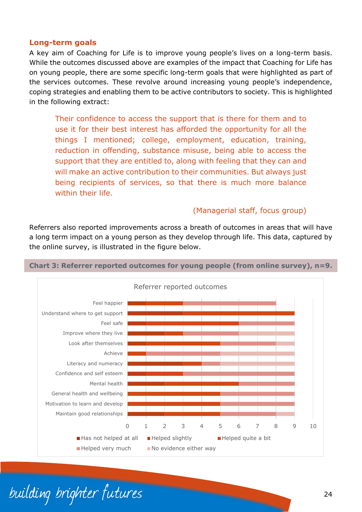#### **Long-term goals**

A key aim of Coaching for Life is to improve young people's lives on a long-term basis. While the outcomes discussed above are examples of the impact that Coaching for Life has on young people, there are some specific long-term goals that were highlighted as part of the services outcomes. These revolve around increasing young people's independence, coping strategies and enabling them to be active contributors to society. This is highlighted in the following extract:

Their confidence to access the support that is there for them and to use it for their best interest has afforded the opportunity for all the things I mentioned; college, employment, education, training, reduction in offending, substance misuse, being able to access the support that they are entitled to, along with feeling that they can and will make an active contribution to their communities. But always just being recipients of services, so that there is much more balance within their life.

#### (Managerial staff, focus group)

Referrers also reported improvements across a breath of outcomes in areas that will have a long term impact on a young person as they develop through life. This data, captured by the online survey, is illustrated in the figure below.



#### **Chart 3: Referrer reported outcomes for young people (from online survey), n=9.**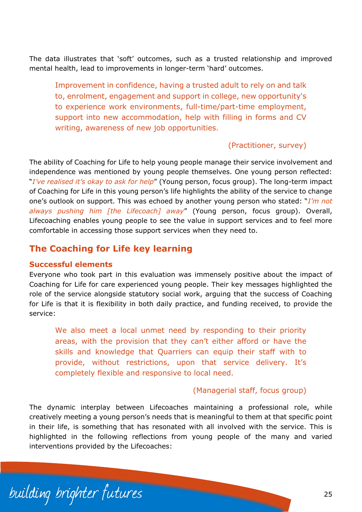The data illustrates that 'soft' outcomes, such as a trusted relationship and improved mental health, lead to improvements in longer-term 'hard' outcomes.

Improvement in confidence, having a trusted adult to rely on and talk to, enrolment, engagement and support in college, new opportunity's to experience work environments, full-time/part-time employment, support into new accommodation, help with filling in forms and CV writing, awareness of new job opportunities.

#### (Practitioner, survey)

The ability of Coaching for Life to help young people manage their service involvement and independence was mentioned by young people themselves. One young person reflected: "*I've realised it's okay to ask for help*" (Young person, focus group). The long-term impact of Coaching for Life in this young person's life highlights the ability of the service to change one's outlook on support. This was echoed by another young person who stated: "*I'm not always pushing him [the Lifecoach] away*" (Young person, focus group). Overall, Lifecoaching enables young people to see the value in support services and to feel more comfortable in accessing those support services when they need to.

# <span id="page-26-0"></span>**The Coaching for Life key learning**

#### **Successful elements**

Everyone who took part in this evaluation was immensely positive about the impact of Coaching for Life for care experienced young people. Their key messages highlighted the role of the service alongside statutory social work, arguing that the success of Coaching for Life is that it is flexibility in both daily practice, and funding received, to provide the service:

We also meet a local unmet need by responding to their priority areas, with the provision that they can't either afford or have the skills and knowledge that Quarriers can equip their staff with to provide, without restrictions, upon that service delivery. It's completely flexible and responsive to local need.

#### (Managerial staff, focus group)

The dynamic interplay between Lifecoaches maintaining a professional role, while creatively meeting a young person's needs that is meaningful to them at that specific point in their life, is something that has resonated with all involved with the service. This is highlighted in the following reflections from young people of the many and varied interventions provided by the Lifecoaches:

building brighter futures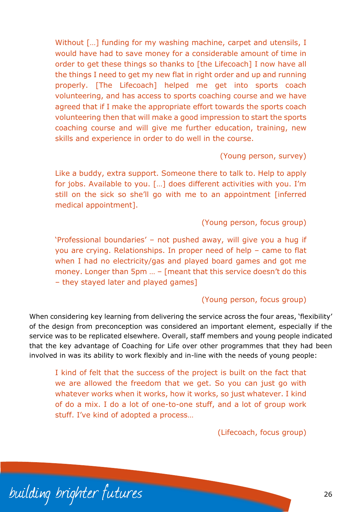Without [...] funding for my washing machine, carpet and utensils, I would have had to save money for a considerable amount of time in order to get these things so thanks to [the Lifecoach] I now have all the things I need to get my new flat in right order and up and running properly. [The Lifecoach] helped me get into sports coach volunteering, and has access to sports coaching course and we have agreed that if I make the appropriate effort towards the sports coach volunteering then that will make a good impression to start the sports coaching course and will give me further education, training, new skills and experience in order to do well in the course.

(Young person, survey)

Like a buddy, extra support. Someone there to talk to. Help to apply for jobs. Available to you. […] does different activities with you. I'm still on the sick so she'll go with me to an appointment [inferred medical appointment].

(Young person, focus group)

'Professional boundaries' – not pushed away, will give you a hug if you are crying. Relationships. In proper need of help – came to flat when I had no electricity/gas and played board games and got me money. Longer than 5pm … – [meant that this service doesn't do this – they stayed later and played games]

#### (Young person, focus group)

When considering key learning from delivering the service across the four areas, 'flexibility' of the design from preconception was considered an important element, especially if the service was to be replicated elsewhere. Overall, staff members and young people indicated that the key advantage of Coaching for Life over other programmes that they had been involved in was its ability to work flexibly and in-line with the needs of young people:

I kind of felt that the success of the project is built on the fact that we are allowed the freedom that we get. So you can just go with whatever works when it works, how it works, so just whatever. I kind of do a mix. I do a lot of one-to-one stuff, and a lot of group work stuff. I've kind of adopted a process…

(Lifecoach, focus group)

building brighter futures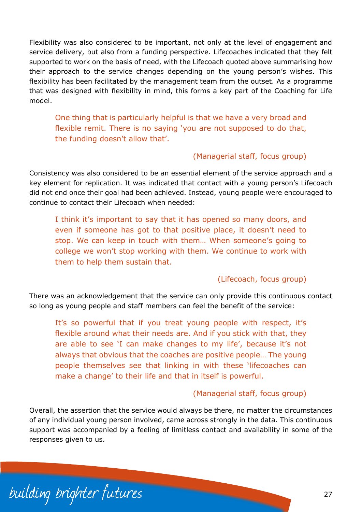Flexibility was also considered to be important, not only at the level of engagement and service delivery, but also from a funding perspective. Lifecoaches indicated that they felt supported to work on the basis of need, with the Lifecoach quoted above summarising how their approach to the service changes depending on the young person's wishes. This flexibility has been facilitated by the management team from the outset. As a programme that was designed with flexibility in mind, this forms a key part of the Coaching for Life model.

One thing that is particularly helpful is that we have a very broad and flexible remit. There is no saying 'you are not supposed to do that, the funding doesn't allow that'.

#### (Managerial staff, focus group)

Consistency was also considered to be an essential element of the service approach and a key element for replication. It was indicated that contact with a young person's Lifecoach did not end once their goal had been achieved. Instead, young people were encouraged to continue to contact their Lifecoach when needed:

I think it's important to say that it has opened so many doors, and even if someone has got to that positive place, it doesn't need to stop. We can keep in touch with them… When someone's going to college we won't stop working with them. We continue to work with them to help them sustain that.

#### (Lifecoach, focus group)

There was an acknowledgement that the service can only provide this continuous contact so long as young people and staff members can feel the benefit of the service:

It's so powerful that if you treat young people with respect, it's flexible around what their needs are. And if you stick with that, they are able to see 'I can make changes to my life', because it's not always that obvious that the coaches are positive people… The young people themselves see that linking in with these 'lifecoaches can make a change' to their life and that in itself is powerful.

#### (Managerial staff, focus group)

Overall, the assertion that the service would always be there, no matter the circumstances of any individual young person involved, came across strongly in the data. This continuous support was accompanied by a feeling of limitless contact and availability in some of the responses given to us.

building brighter futures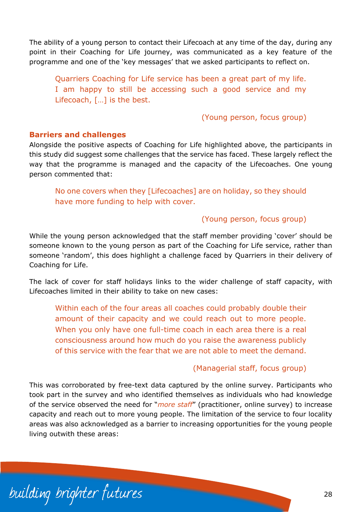The ability of a young person to contact their Lifecoach at any time of the day, during any point in their Coaching for Life journey, was communicated as a key feature of the programme and one of the 'key messages' that we asked participants to reflect on.

Quarriers Coaching for Life service has been a great part of my life. I am happy to still be accessing such a good service and my Lifecoach, […] is the best.

(Young person, focus group)

#### **Barriers and challenges**

Alongside the positive aspects of Coaching for Life highlighted above, the participants in this study did suggest some challenges that the service has faced. These largely reflect the way that the programme is managed and the capacity of the Lifecoaches. One young person commented that:

No one covers when they [Lifecoaches] are on holiday, so they should have more funding to help with cover.

#### (Young person, focus group)

While the young person acknowledged that the staff member providing 'cover' should be someone known to the young person as part of the Coaching for Life service, rather than someone 'random', this does highlight a challenge faced by Quarriers in their delivery of Coaching for Life.

The lack of cover for staff holidays links to the wider challenge of staff capacity, with Lifecoaches limited in their ability to take on new cases:

Within each of the four areas all coaches could probably double their amount of their capacity and we could reach out to more people. When you only have one full-time coach in each area there is a real consciousness around how much do you raise the awareness publicly of this service with the fear that we are not able to meet the demand.

#### (Managerial staff, focus group)

This was corroborated by free-text data captured by the online survey. Participants who took part in the survey and who identified themselves as individuals who had knowledge of the service observed the need for "*more staff*" (practitioner, online survey) to increase capacity and reach out to more young people. The limitation of the service to four locality areas was also acknowledged as a barrier to increasing opportunities for the young people living outwith these areas:

building brighter futures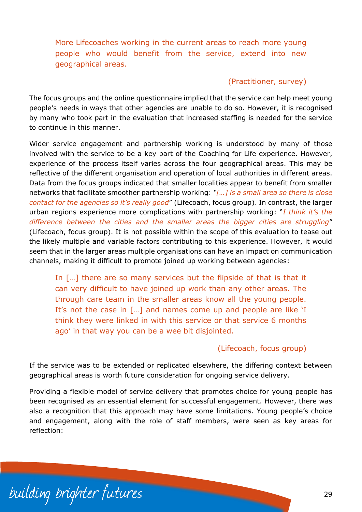More Lifecoaches working in the current areas to reach more young people who would benefit from the service, extend into new geographical areas.

#### (Practitioner, survey)

The focus groups and the online questionnaire implied that the service can help meet young people's needs in ways that other agencies are unable to do so. However, it is recognised by many who took part in the evaluation that increased staffing is needed for the service to continue in this manner.

Wider service engagement and partnership working is understood by many of those involved with the service to be a key part of the Coaching for Life experience. However, experience of the process itself varies across the four geographical areas. This may be reflective of the different organisation and operation of local authorities in different areas. Data from the focus groups indicated that smaller localities appear to benefit from smaller networks that facilitate smoother partnership working: *"[…] is a small area so there is close contact for the agencies so it's really good*" (Lifecoach, focus group). In contrast, the larger urban regions experience more complications with partnership working: "*I think it's the difference between the cities and the smaller areas the bigger cities are struggling*" (Lifecoach, focus group). It is not possible within the scope of this evaluation to tease out the likely multiple and variable factors contributing to this experience. However, it would seem that in the larger areas multiple organisations can have an impact on communication channels, making it difficult to promote joined up working between agencies:

In [...] there are so many services but the flipside of that is that it can very difficult to have joined up work than any other areas. The through care team in the smaller areas know all the young people. It's not the case in […] and names come up and people are like 'I think they were linked in with this service or that service 6 months ago' in that way you can be a wee bit disjointed.

#### (Lifecoach, focus group)

If the service was to be extended or replicated elsewhere, the differing context between geographical areas is worth future consideration for ongoing service delivery.

Providing a flexible model of service delivery that promotes choice for young people has been recognised as an essential element for successful engagement. However, there was also a recognition that this approach may have some limitations. Young people's choice and engagement, along with the role of staff members, were seen as key areas for reflection:

building brighter futures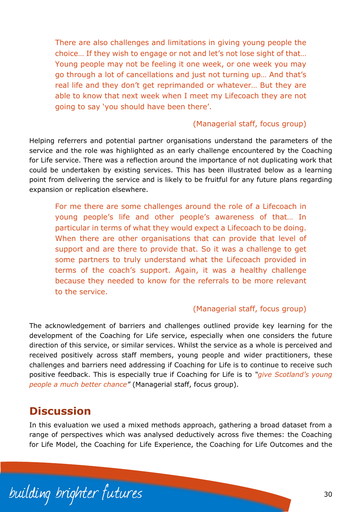There are also challenges and limitations in giving young people the choice… If they wish to engage or not and let's not lose sight of that… Young people may not be feeling it one week, or one week you may go through a lot of cancellations and just not turning up… And that's real life and they don't get reprimanded or whatever… But they are able to know that next week when I meet my Lifecoach they are not going to say 'you should have been there'.

#### (Managerial staff, focus group)

Helping referrers and potential partner organisations understand the parameters of the service and the role was highlighted as an early challenge encountered by the Coaching for Life service. There was a reflection around the importance of not duplicating work that could be undertaken by existing services. This has been illustrated below as a learning point from delivering the service and is likely to be fruitful for any future plans regarding expansion or replication elsewhere.

For me there are some challenges around the role of a Lifecoach in young people's life and other people's awareness of that… In particular in terms of what they would expect a Lifecoach to be doing. When there are other organisations that can provide that level of support and are there to provide that. So it was a challenge to get some partners to truly understand what the Lifecoach provided in terms of the coach's support. Again, it was a healthy challenge because they needed to know for the referrals to be more relevant to the service.

#### (Managerial staff, focus group)

The acknowledgement of barriers and challenges outlined provide key learning for the development of the Coaching for Life service, especially when one considers the future direction of this service, or similar services. Whilst the service as a whole is perceived and received positively across staff members, young people and wider practitioners, these challenges and barriers need addressing if Coaching for Life is to continue to receive such positive feedback. This is especially true if Coaching for Life is to *"give Scotland's young people a much better chance"* (Managerial staff, focus group).

# <span id="page-31-0"></span>**Discussion**

In this evaluation we used a mixed methods approach, gathering a broad dataset from a range of perspectives which was analysed deductively across five themes: the Coaching for Life Model, the Coaching for Life Experience, the Coaching for Life Outcomes and the

building brighter futures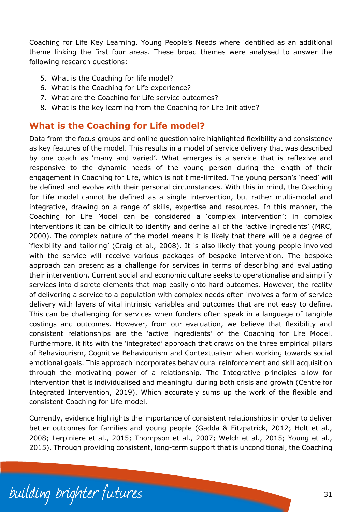Coaching for Life Key Learning. Young People's Needs where identified as an additional theme linking the first four areas. These broad themes were analysed to answer the following research questions:

- 5. What is the Coaching for life model?
- 6. What is the Coaching for Life experience?
- 7. What are the Coaching for Life service outcomes?
- 8. What is the key learning from the Coaching for Life Initiative?

# <span id="page-32-0"></span>**What is the Coaching for Life model?**

Data from the focus groups and online questionnaire highlighted flexibility and consistency as key features of the model. This results in a model of service delivery that was described by one coach as 'many and varied'. What emerges is a service that is reflexive and responsive to the dynamic needs of the young person during the length of their engagement in Coaching for Life, which is not time-limited. The young person's 'need' will be defined and evolve with their personal circumstances. With this in mind, the Coaching for Life model cannot be defined as a single intervention, but rather multi-modal and integrative, drawing on a range of skills, expertise and resources. In this manner, the Coaching for Life Model can be considered a 'complex intervention'; in complex interventions it can be difficult to identify and define all of the 'active ingredients' (MRC, 2000). The complex nature of the model means it is likely that there will be a degree of 'flexibility and tailoring' (Craig et al., 2008). It is also likely that young people involved with the service will receive various packages of bespoke intervention. The bespoke approach can present as a challenge for services in terms of describing and evaluating their intervention. Current social and economic culture seeks to operationalise and simplify services into discrete elements that map easily onto hard outcomes. However, the reality of delivering a service to a population with complex needs often involves a form of service delivery with layers of vital intrinsic variables and outcomes that are not easy to define. This can be challenging for services when funders often speak in a language of tangible costings and outcomes. However, from our evaluation, we believe that flexibility and consistent relationships are the 'active ingredients' of the Coaching for Life Model. Furthermore, it fits with the 'integrated' approach that draws on the three empirical pillars of Behaviourism, Cognitive Behaviourism and Contextualism when working towards social emotional goals. This approach incorporates behavioural reinforcement and skill acquisition through the motivating power of a relationship. The Integrative principles allow for intervention that is individualised and meaningful during both crisis and growth (Centre for Integrated Intervention, 2019). Which accurately sums up the work of the flexible and consistent Coaching for Life model.

Currently, evidence highlights the importance of consistent relationships in order to deliver better outcomes for families and young people (Gadda & Fitzpatrick, 2012; Holt et al., 2008; Lerpiniere et al., 2015; Thompson et al., 2007; Welch et al., 2015; Young et al., 2015). Through providing consistent, long-term support that is unconditional, the Coaching

building brighter futures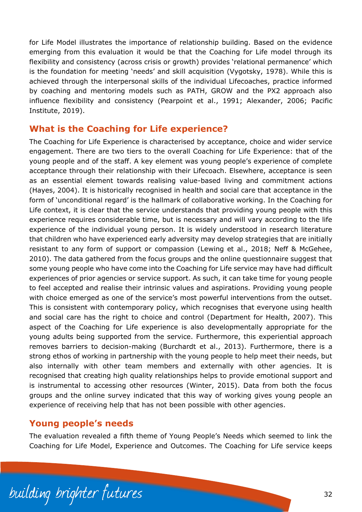for Life Model illustrates the importance of relationship building. Based on the evidence emerging from this evaluation it would be that the Coaching for Life model through its flexibility and consistency (across crisis or growth) provides 'relational permanence' which is the foundation for meeting 'needs' and skill acquisition (Vygotsky, 1978). While this is achieved through the interpersonal skills of the individual Lifecoaches, practice informed by coaching and mentoring models such as PATH, GROW and the PX2 approach also influence flexibility and consistency (Pearpoint et al., 1991; Alexander, 2006; Pacific Institute, 2019).

### <span id="page-33-0"></span>**What is the Coaching for Life experience?**

The Coaching for Life Experience is characterised by acceptance, choice and wider service engagement. There are two tiers to the overall Coaching for Life Experience: that of the young people and of the staff. A key element was young people's experience of complete acceptance through their relationship with their Lifecoach. Elsewhere, acceptance is seen as an essential element towards realising value-based living and commitment actions (Hayes, 2004). It is historically recognised in health and social care that acceptance in the form of 'unconditional regard' is the hallmark of collaborative working. In the Coaching for Life context, it is clear that the service understands that providing young people with this experience requires considerable time, but is necessary and will vary according to the life experience of the individual young person. It is widely understood in research literature that children who have experienced early adversity may develop strategies that are initially resistant to any form of support or compassion (Lewing et al., 2018; Neff & McGehee, 2010). The data gathered from the focus groups and the online questionnaire suggest that some young people who have come into the Coaching for Life service may have had difficult experiences of prior agencies or service support. As such, it can take time for young people to feel accepted and realise their intrinsic values and aspirations. Providing young people with choice emerged as one of the service's most powerful interventions from the outset. This is consistent with contemporary policy, which recognises that everyone using health and social care has the right to choice and control (Department for Health, 2007). This aspect of the Coaching for Life experience is also developmentally appropriate for the young adults being supported from the service. Furthermore, this experiential approach removes barriers to decision-making (Burchardt et al., 2013). Furthermore, there is a strong ethos of working in partnership with the young people to help meet their needs, but also internally with other team members and externally with other agencies. It is recognised that creating high quality relationships helps to provide emotional support and is instrumental to accessing other resources (Winter, 2015). Data from both the focus groups and the online survey indicated that this way of working gives young people an experience of receiving help that has not been possible with other agencies.

### <span id="page-33-1"></span>**Young people's needs**

The evaluation revealed a fifth theme of Young People's Needs which seemed to link the Coaching for Life Model, Experience and Outcomes. The Coaching for Life service keeps

building brighter futures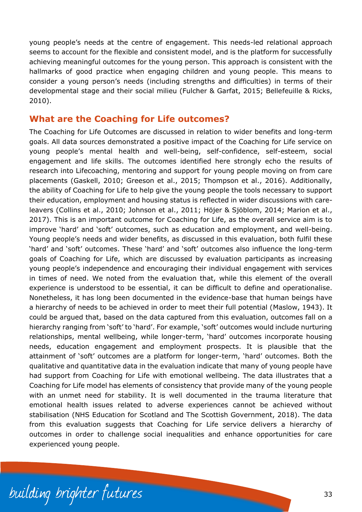young people's needs at the centre of engagement. This needs-led relational approach seems to account for the flexible and consistent model, and is the platform for successfully achieving meaningful outcomes for the young person. This approach is consistent with the hallmarks of good practice when engaging children and young people. This means to consider a young person's needs (including strengths and difficulties) in terms of their developmental stage and their social milieu (Fulcher & Garfat, 2015; Bellefeuille & Ricks, 2010).

### <span id="page-34-0"></span>**What are the Coaching for Life outcomes?**

The Coaching for Life Outcomes are discussed in relation to wider benefits and long-term goals. All data sources demonstrated a positive impact of the Coaching for Life service on young people's mental health and well-being, self-confidence, self-esteem, social engagement and life skills. The outcomes identified here strongly echo the results of research into Lifecoaching, mentoring and support for young people moving on from care placements (Gaskell, 2010; Greeson et al., 2015; Thompson et al., 2016). Additionally, the ability of Coaching for Life to help give the young people the tools necessary to support their education, employment and housing status is reflected in wider discussions with careleavers (Collins et al., 2010; Johnson et al., 2011; Höjer & Sjöblom, 2014; Marion et al., 2017). This is an important outcome for Coaching for Life, as the overall service aim is to improve 'hard' and 'soft' outcomes, such as education and employment, and well-being. Young people's needs and wider benefits, as discussed in this evaluation, both fulfil these 'hard' and 'soft' outcomes. These 'hard' and 'soft' outcomes also influence the long-term goals of Coaching for Life, which are discussed by evaluation participants as increasing young people's independence and encouraging their individual engagement with services in times of need. We noted from the evaluation that, while this element of the overall experience is understood to be essential, it can be difficult to define and operationalise. Nonetheless, it has long been documented in the evidence-base that human beings have a hierarchy of needs to be achieved in order to meet their full potential (Maslow, 1943). It could be argued that, based on the data captured from this evaluation, outcomes fall on a hierarchy ranging from 'soft' to 'hard'. For example, 'soft' outcomes would include nurturing relationships, mental wellbeing, while longer-term, 'hard' outcomes incorporate housing needs, education engagement and employment prospects. It is plausible that the attainment of 'soft' outcomes are a platform for longer-term, 'hard' outcomes. Both the qualitative and quantitative data in the evaluation indicate that many of young people have had support from Coaching for Life with emotional wellbeing. The data illustrates that a Coaching for Life model has elements of consistency that provide many of the young people with an unmet need for stability. It is well documented in the trauma literature that emotional health issues related to adverse experiences cannot be achieved without stabilisation (NHS Education for Scotland and The Scottish Government, 2018). The data from this evaluation suggests that Coaching for Life service delivers a hierarchy of outcomes in order to challenge social inequalities and enhance opportunities for care experienced young people.

building brighter futures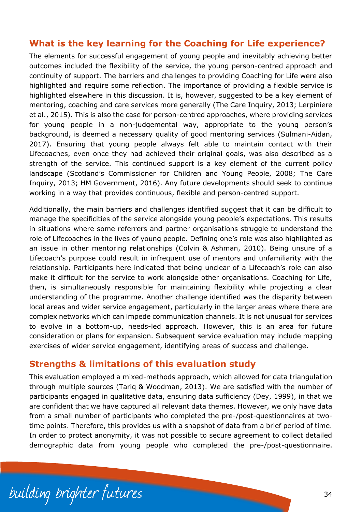# <span id="page-35-0"></span>**What is the key learning for the Coaching for Life experience?**

The elements for successful engagement of young people and inevitably achieving better outcomes included the flexibility of the service, the young person-centred approach and continuity of support. The barriers and challenges to providing Coaching for Life were also highlighted and require some reflection. The importance of providing a flexible service is highlighted elsewhere in this discussion. It is, however, suggested to be a key element of mentoring, coaching and care services more generally (The Care Inquiry, 2013; Lerpiniere et al., 2015). This is also the case for person-centred approaches, where providing services for young people in a non-judgemental way, appropriate to the young person's background, is deemed a necessary quality of good mentoring services (Sulmani-Aidan, 2017). Ensuring that young people always felt able to maintain contact with their Lifecoaches, even once they had achieved their original goals, was also described as a strength of the service. This continued support is a key element of the current policy landscape (Scotland's Commissioner for Children and Young People, 2008; The Care Inquiry, 2013; HM Government, 2016). Any future developments should seek to continue working in a way that provides continuous, flexible and person-centred support.

Additionally, the main barriers and challenges identified suggest that it can be difficult to manage the specificities of the service alongside young people's expectations. This results in situations where some referrers and partner organisations struggle to understand the role of Lifecoaches in the lives of young people. Defining one's role was also highlighted as an issue in other mentoring relationships (Colvin & Ashman, 2010). Being unsure of a Lifecoach's purpose could result in infrequent use of mentors and unfamiliarity with the relationship. Participants here indicated that being unclear of a Lifecoach's role can also make it difficult for the service to work alongside other organisations. Coaching for Life, then, is simultaneously responsible for maintaining flexibility while projecting a clear understanding of the programme. Another challenge identified was the disparity between local areas and wider service engagement, particularly in the larger areas where there are complex networks which can impede communication channels. It is not unusual for services to evolve in a bottom-up, needs-led approach. However, this is an area for future consideration or plans for expansion. Subsequent service evaluation may include mapping exercises of wider service engagement, identifying areas of success and challenge.

### <span id="page-35-1"></span>**Strengths & limitations of this evaluation study**

This evaluation employed a mixed-methods approach, which allowed for data triangulation through multiple sources (Tariq & Woodman, 2013). We are satisfied with the number of participants engaged in qualitative data, ensuring data sufficiency (Dey, 1999), in that we are confident that we have captured all relevant data themes. However, we only have data from a small number of participants who completed the pre-/post-questionnaires at twotime points. Therefore, this provides us with a snapshot of data from a brief period of time. In order to protect anonymity, it was not possible to secure agreement to collect detailed demographic data from young people who completed the pre-/post-questionnaire.

building brighter futures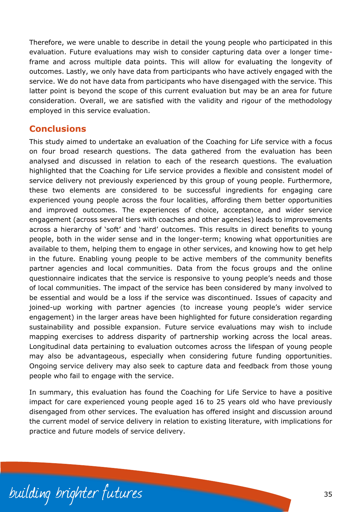Therefore, we were unable to describe in detail the young people who participated in this evaluation. Future evaluations may wish to consider capturing data over a longer timeframe and across multiple data points. This will allow for evaluating the longevity of outcomes. Lastly, we only have data from participants who have actively engaged with the service. We do not have data from participants who have disengaged with the service. This latter point is beyond the scope of this current evaluation but may be an area for future consideration. Overall, we are satisfied with the validity and rigour of the methodology employed in this service evaluation.

# <span id="page-36-0"></span>**Conclusions**

This study aimed to undertake an evaluation of the Coaching for Life service with a focus on four broad research questions. The data gathered from the evaluation has been analysed and discussed in relation to each of the research questions. The evaluation highlighted that the Coaching for Life service provides a flexible and consistent model of service delivery not previously experienced by this group of young people. Furthermore, these two elements are considered to be successful ingredients for engaging care experienced young people across the four localities, affording them better opportunities and improved outcomes. The experiences of choice, acceptance, and wider service engagement (across several tiers with coaches and other agencies) leads to improvements across a hierarchy of 'soft' and 'hard' outcomes. This results in direct benefits to young people, both in the wider sense and in the longer-term; knowing what opportunities are available to them, helping them to engage in other services, and knowing how to get help in the future. Enabling young people to be active members of the community benefits partner agencies and local communities. Data from the focus groups and the online questionnaire indicates that the service is responsive to young people's needs and those of local communities. The impact of the service has been considered by many involved to be essential and would be a loss if the service was discontinued. Issues of capacity and joined-up working with partner agencies (to increase young people's wider service engagement) in the larger areas have been highlighted for future consideration regarding sustainability and possible expansion. Future service evaluations may wish to include mapping exercises to address disparity of partnership working across the local areas. Longitudinal data pertaining to evaluation outcomes across the lifespan of young people may also be advantageous, especially when considering future funding opportunities. Ongoing service delivery may also seek to capture data and feedback from those young people who fail to engage with the service.

In summary, this evaluation has found the Coaching for Life Service to have a positive impact for care experienced young people aged 16 to 25 years old who have previously disengaged from other services. The evaluation has offered insight and discussion around the current model of service delivery in relation to existing literature, with implications for practice and future models of service delivery.

building brighter futures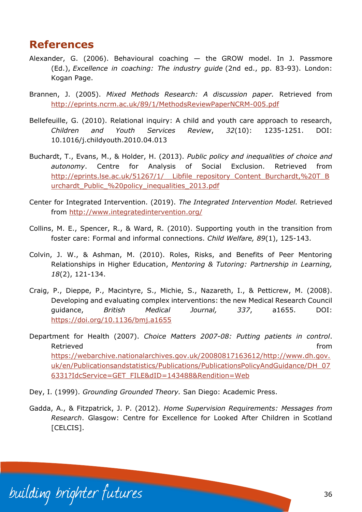# <span id="page-37-0"></span>**References**

- Alexander, G. (2006). Behavioural coaching the GROW model. In J. Passmore (Ed.), *Excellence in coaching: The industry guide* (2nd ed., pp. 83-93). London: Kogan Page.
- Brannen, J. (2005). *Mixed Methods Research: A discussion paper.* Retrieved from <http://eprints.ncrm.ac.uk/89/1/MethodsReviewPaperNCRM-005.pdf>
- Bellefeuille, G. (2010). Relational inquiry: A child and youth care approach to research, *Children and Youth Services Review*, *32*(10): 1235-1251. DOI: 10.1016/j.childyouth.2010.04.013
- Buchardt, T., Evans, M., & Holder, H. (2013). *Public policy and inequalities of choice and autonomy*. Centre for Analysis of Social Exclusion. Retrieved from http://eprints.lse.ac.uk/51267/1/ Libfile repository Content Burchardt,%20T\_B urchardt Public %20policy inequalities 2013.pdf
- Center for Integrated Intervention. (2019). *The Integrated Intervention Model.* Retrieved from<http://www.integratedintervention.org/>
- Collins, M. E., Spencer, R., & Ward, R. (2010). Supporting youth in the transition from foster care: Formal and informal connections. *Child Welfare, 89*(1), 125-143.
- Colvin, J. W., & Ashman, M. (2010). Roles, Risks, and Benefits of Peer Mentoring Relationships in Higher Education, *Mentoring & Tutoring: Partnership in Learning, 18*(2), 121-134.
- Craig, P., Dieppe, P., Macintyre, S., Michie, S., Nazareth, I., & Petticrew, M. (2008). Developing and evaluating complex interventions: the new Medical Research Council guidance, *British Medical Journal, 337*, a1655. DOI: <https://doi.org/10.1136/bmj.a1655>
- Department for Health (2007). *Choice Matters 2007-08: Putting patients in control*. Retrieved **from the contract of the contract of the contract of the contract of the contract of the contract of the contract of the contract of the contract of the contract of the contract of the contract of the contract o** [https://webarchive.nationalarchives.gov.uk/20080817163612/http://www.dh.gov.](https://webarchive.nationalarchives.gov.uk/20080817163612/http:/www.dh.gov.uk/en/Publicationsandstatistics/Publications/PublicationsPolicyAndGuidance/DH_076331?IdcService=GET_FILE&dID=143488&Rendition=Web) [uk/en/Publicationsandstatistics/Publications/PublicationsPolicyAndGuidance/DH\\_07](https://webarchive.nationalarchives.gov.uk/20080817163612/http:/www.dh.gov.uk/en/Publicationsandstatistics/Publications/PublicationsPolicyAndGuidance/DH_076331?IdcService=GET_FILE&dID=143488&Rendition=Web) [6331?IdcService=GET\\_FILE&dID=143488&Rendition=Web](https://webarchive.nationalarchives.gov.uk/20080817163612/http:/www.dh.gov.uk/en/Publicationsandstatistics/Publications/PublicationsPolicyAndGuidance/DH_076331?IdcService=GET_FILE&dID=143488&Rendition=Web)
- Dey, I. (1999). *Grounding Grounded Theory.* San Diego: Academic Press.
- Gadda, A., & Fitzpatrick, J. P. (2012). *Home Supervision Requirements: Messages from Research*. Glasgow: Centre for Excellence for Looked After Children in Scotland [CELCIS].

building brighter futures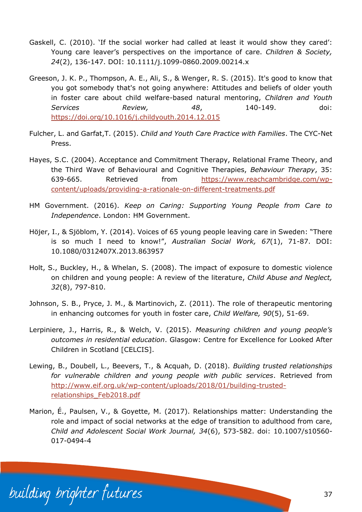- Gaskell, C. (2010). 'If the social worker had called at least it would show they cared': Young care leaver's perspectives on the importance of care. *Children & Society, 24*(2), 136-147. DOI: 10.1111/j.1099-0860.2009.00214.x
- Greeson, J. K. P., Thompson, A. E., Ali, S., & Wenger, R. S. (2015). It's good to know that you got somebody that's not going anywhere: Attitudes and beliefs of older youth in foster care about child welfare-based natural mentoring, *Children and Youth Services Review, 48*, 140-149. doi: <https://doi.org/10.1016/j.childyouth.2014.12.015>
- Fulcher, L. and Garfat,T. (2015). *Child and Youth Care Practice with Families*. The CYC-Net Press.
- Hayes, S.C. (2004). Acceptance and Commitment Therapy, Relational Frame Theory, and the Third Wave of Behavioural and Cognitive Therapies, *Behaviour Therapy*, 35: 639-665. Retrieved from [https://www.reachcambridge.com/wp](https://www.reachcambridge.com/wp-content/uploads/providing-a-rationale-on-different-treatments.pdf)[content/uploads/providing-a-rationale-on-different-treatments.pdf](https://www.reachcambridge.com/wp-content/uploads/providing-a-rationale-on-different-treatments.pdf)
- HM Government. (2016). *Keep on Caring: Supporting Young People from Care to Independence*. London: HM Government.
- Höjer, I., & Sjöblom, Y. (2014). Voices of 65 young people leaving care in Sweden: "There is so much I need to know!", *Australian Social Work, 67*(1), 71-87. DOI: 10.1080/0312407X.2013.863957
- Holt, S., Buckley, H., & Whelan, S. (2008). The impact of exposure to domestic violence on children and young people: A review of the literature, *Child Abuse and Neglect, 32*(8), 797-810.
- Johnson, S. B., Pryce, J. M., & Martinovich, Z. (2011). The role of therapeutic mentoring in enhancing outcomes for youth in foster care, *Child Welfare, 90*(5), 51-69.
- Lerpiniere, J., Harris, R., & Welch, V. (2015). *Measuring children and young people's outcomes in residential education*. Glasgow: Centre for Excellence for Looked After Children in Scotland [CELCIS].
- Lewing, B., Doubell, L., Beevers, T., & Acquah, D. (2018). *Building trusted relationships for vulnerable children and young people with public services*. Retrieved from [http://www.eif.org.uk/wp-content/uploads/2018/01/building-trusted](http://www.eif.org.uk/wp-content/uploads/2018/01/building-trusted-relationships_Feb2018.pdf)[relationships\\_Feb2018.pdf](http://www.eif.org.uk/wp-content/uploads/2018/01/building-trusted-relationships_Feb2018.pdf)
- Marion, É., Paulsen, V., & Goyette, M. (2017). Relationships matter: Understanding the role and impact of social networks at the edge of transition to adulthood from care, *Child and Adolescent Social Work Journal, 34*(6), 573-582. doi: 10.1007/s10560- 017-0494-4

building brighter futures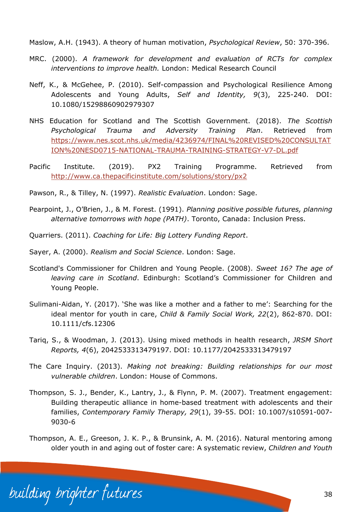Maslow, A.H. (1943). A theory of human motivation, *Psychological Review*, 50: 370-396.

- MRC. (2000). *A framework for development and evaluation of RCTs for complex interventions to improve health.* London: Medical Research Council
- Neff, K., & McGehee, P. (2010). Self-compassion and Psychological Resilience Among Adolescents and Young Adults, *Self and Identity, 9*(3), 225-240. DOI: 10.1080/15298860902979307
- NHS Education for Scotland and The Scottish Government. (2018). *The Scottish Psychological Trauma and Adversity Training Plan*. Retrieved from [https://www.nes.scot.nhs.uk/media/4236974/FINAL%20REVISED%20CONSULTAT](https://www.nes.scot.nhs.uk/media/4236974/FINAL%20REVISED%20CONSULTATION%20NESD0715-NATIONAL-TRAUMA-TRAINING-STRATEGY-V7-DL.pdf) [ION%20NESD0715-NATIONAL-TRAUMA-TRAINING-STRATEGY-V7-DL.pdf](https://www.nes.scot.nhs.uk/media/4236974/FINAL%20REVISED%20CONSULTATION%20NESD0715-NATIONAL-TRAUMA-TRAINING-STRATEGY-V7-DL.pdf)
- Pacific Institute. (2019). PX2 Training Programme. Retrieved from <http://www.ca.thepacificinstitute.com/solutions/story/px2>
- Pawson, R., & Tilley, N. (1997). *Realistic Evaluation*. London: Sage.
- Pearpoint, J., O'Brien, J., & M. Forest. (1991). *Planning positive possible futures, planning alternative tomorrows with hope (PATH)*. Toronto, Canada: Inclusion Press.
- Quarriers. (2011). *Coaching for Life: Big Lottery Funding Report*.
- Sayer, A. (2000). *Realism and Social Science*. London: Sage.
- Scotland's Commissioner for Children and Young People. (2008). *Sweet 16? The age of leaving care in Scotland*. Edinburgh: Scotland's Commissioner for Children and Young People.
- Sulimani-Aidan, Y. (2017). 'She was like a mother and a father to me': Searching for the ideal mentor for youth in care, *Child & Family Social Work, 22*(2), 862-870. DOI: 10.1111/cfs.12306
- Tariq, S., & Woodman, J. (2013). Using mixed methods in health research, *JRSM Short Reports, 4*(6), 2042533313479197. DOI: 10.1177/2042533313479197
- The Care Inquiry. (2013). *Making not breaking: Building relationships for our most vulnerable children*. London: House of Commons.
- Thompson, S. J., Bender, K., Lantry, J., & Flynn, P. M. (2007). Treatment engagement: Building therapeutic alliance in home-based treatment with adolescents and their families, *Contemporary Family Therapy, 29*(1), 39-55. DOI: 10.1007/s10591-007- 9030-6
- Thompson, A. E., Greeson, J. K. P., & Brunsink, A. M. (2016). Natural mentoring among older youth in and aging out of foster care: A systematic review, *Children and Youth*

building brighter futures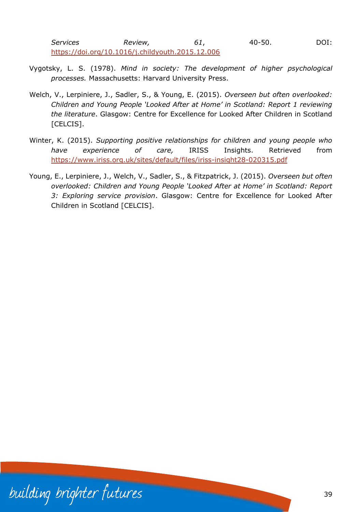*Services Review, 61*, 40-50. DOI: <https://doi.org/10.1016/j.childyouth.2015.12.006>

- Vygotsky, L. S. (1978). *Mind in society: The development of higher psychological processes.* Massachusetts: Harvard University Press.
- Welch, V., Lerpiniere, J., Sadler, S., & Young, E. (2015). *Overseen but often overlooked: Children and Young People 'Looked After at Home' in Scotland: Report 1 reviewing the literature*. Glasgow: Centre for Excellence for Looked After Children in Scotland [CELCIS].
- Winter, K. (2015). *Supporting positive relationships for children and young people who have experience of care,* IRISS Insights. Retrieved from <https://www.iriss.org.uk/sites/default/files/iriss-insight28-020315.pdf>
- Young, E., Lerpiniere, J., Welch, V., Sadler, S., & Fitzpatrick, J. (2015). *Overseen but often overlooked: Children and Young People 'Looked After at Home' in Scotland: Report 3: Exploring service provision*. Glasgow: Centre for Excellence for Looked After Children in Scotland [CELCIS].

building brighter futures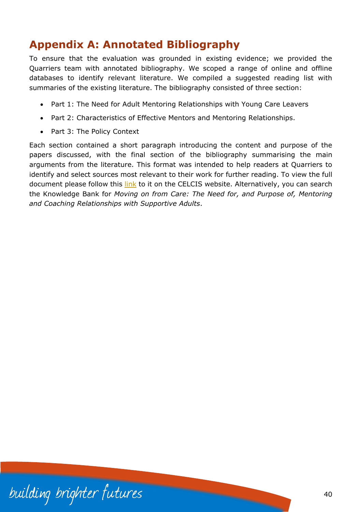# <span id="page-41-0"></span>**Appendix A: Annotated Bibliography**

To ensure that the evaluation was grounded in existing evidence; we provided the Quarriers team with annotated bibliography. We scoped a range of online and offline databases to identify relevant literature. We compiled a suggested reading list with summaries of the existing literature. The bibliography consisted of three section:

- Part 1: [The Need for Adult Mentoring Relationships with Young Care Leavers](file://///ds.strath.ac.uk/idrive/HASS/Centres/CELCIS/Research%20and%20evaluation/04%20Research%20projects%20(current)/Quarriers%20coaching%20for%20life%20evaluation/Resports%20and%20outputs/Annotated%20Bibliography/Coaching%20for%20Life%20-%20Annotated%20Bibliography%20(Draft%20for%20Kenny).docx%23_Toc447194241)
- Part 2: Characteristics of Effective Mentors and Mentoring Relationships.
- Part 3: The Policy Context

Each section contained a short paragraph introducing the content and purpose of the papers discussed, with the final section of the bibliography summarising the main arguments from the literature. This format was intended to help readers at Quarriers to identify and select sources most relevant to their work for further reading. To view the full document please follow this [link](https://www.celcis.org/knowledge-bank/search-bank/moving-care-need-and-purpose-mentoring-and-coaching-relationships-supportive-adults/) to it on the CELCIS website. Alternatively, you can search the Knowledge Bank for *Moving on from Care: The Need for, and Purpose of, Mentoring and Coaching Relationships with Supportive Adults*.

building brighter futures